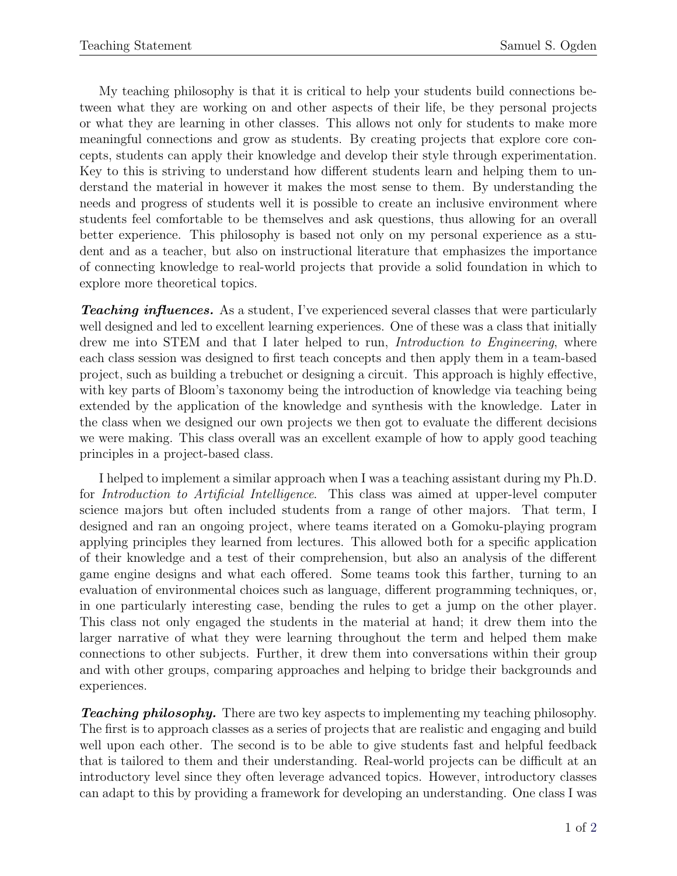My teaching philosophy is that it is critical to help your students build connections between what they are working on and other aspects of their life, be they personal projects or what they are learning in other classes. This allows not only for students to make more meaningful connections and grow as students. By creating projects that explore core concepts, students can apply their knowledge and develop their style through experimentation. Key to this is striving to understand how different students learn and helping them to understand the material in however it makes the most sense to them. By understanding the needs and progress of students well it is possible to create an inclusive environment where students feel comfortable to be themselves and ask questions, thus allowing for an overall better experience. This philosophy is based not only on my personal experience as a student and as a teacher, but also on instructional literature that emphasizes the importance of connecting knowledge to real-world projects that provide a solid foundation in which to explore more theoretical topics.

**Teaching influences.** As a student, I've experienced several classes that were particularly well designed and led to excellent learning experiences. One of these was a class that initially drew me into STEM and that I later helped to run, *Introduction to Engineering*, where each class session was designed to first teach concepts and then apply them in a team-based project, such as building a trebuchet or designing a circuit. This approach is highly effective, with key parts of Bloom's taxonomy being the introduction of knowledge via teaching being extended by the application of the knowledge and synthesis with the knowledge. Later in the class when we designed our own projects we then got to evaluate the different decisions we were making. This class overall was an excellent example of how to apply good teaching principles in a project-based class.

I helped to implement a similar approach when I was a teaching assistant during my Ph.D. for Introduction to Artificial Intelligence. This class was aimed at upper-level computer science majors but often included students from a range of other majors. That term, I designed and ran an ongoing project, where teams iterated on a Gomoku-playing program applying principles they learned from lectures. This allowed both for a specific application of their knowledge and a test of their comprehension, but also an analysis of the different game engine designs and what each offered. Some teams took this farther, turning to an evaluation of environmental choices such as language, different programming techniques, or, in one particularly interesting case, bending the rules to get a jump on the other player. This class not only engaged the students in the material at hand; it drew them into the larger narrative of what they were learning throughout the term and helped them make connections to other subjects. Further, it drew them into conversations within their group and with other groups, comparing approaches and helping to bridge their backgrounds and experiences.

**Teaching philosophy.** There are two key aspects to implementing my teaching philosophy. The first is to approach classes as a series of projects that are realistic and engaging and build well upon each other. The second is to be able to give students fast and helpful feedback that is tailored to them and their understanding. Real-world projects can be difficult at an introductory level since they often leverage advanced topics. However, introductory classes can adapt to this by providing a framework for developing an understanding. One class I was